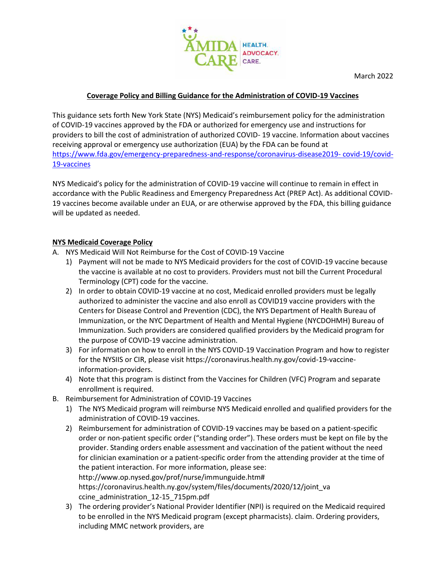

March 2022

## **Coverage Policy and Billing Guidance for the Administration of COVID-19 Vaccines**

This guidance sets forth New York State (NYS) Medicaid's reimbursement policy for the administration of COVID-19 vaccines approved by the FDA or authorized for emergency use and instructions for providers to bill the cost of administration of authorized COVID- 19 vaccine. Information about vaccines receiving approval or emergency use authorization (EUA) by the FDA can be found at [https://www.fda.gov/emergency-preparedness-and-response/coronavirus-disease2019-](https://www.fda.gov/emergency-preparedness-and-response/coronavirus-disease2019-%20covid-19/covid-19-vaccines) covid-19/covid-[19-vaccines](https://www.fda.gov/emergency-preparedness-and-response/coronavirus-disease2019-%20covid-19/covid-19-vaccines)

NYS Medicaid's policy for the administration of COVID-19 vaccine will continue to remain in effect in accordance with the Public Readiness and Emergency Preparedness Act (PREP Act). As additional COVID-19 vaccines become available under an EUA, or are otherwise approved by the FDA, this billing guidance will be updated as needed.

## **NYS Medicaid Coverage Policy**

- A. NYS Medicaid Will Not Reimburse for the Cost of COVID-19 Vaccine
	- 1) Payment will not be made to NYS Medicaid providers for the cost of COVID-19 vaccine because the vaccine is available at no cost to providers. Providers must not bill the Current Procedural Terminology (CPT) code for the vaccine.
	- 2) In order to obtain COVID-19 vaccine at no cost, Medicaid enrolled providers must be legally authorized to administer the vaccine and also enroll as COVID19 vaccine providers with the Centers for Disease Control and Prevention (CDC), the NYS Department of Health Bureau of Immunization, or the NYC Department of Health and Mental Hygiene (NYCDOHMH) Bureau of Immunization. Such providers are considered qualified providers by the Medicaid program for the purpose of COVID-19 vaccine administration.
	- 3) For information on how to enroll in the NYS COVID-19 Vaccination Program and how to register for the NYSIIS or CIR, please visit https://coronavirus.health.ny.gov/covid-19-vaccineinformation-providers.
	- 4) Note that this program is distinct from the Vaccines for Children (VFC) Program and separate enrollment is required.
- B. Reimbursement for Administration of COVID-19 Vaccines
	- 1) The NYS Medicaid program will reimburse NYS Medicaid enrolled and qualified providers for the administration of COVID-19 vaccines.
	- 2) Reimbursement for administration of COVID-19 vaccines may be based on a patient-specific order or non-patient specific order ("standing order"). These orders must be kept on file by the provider. Standing orders enable assessment and vaccination of the patient without the need for clinician examination or a patient-specific order from the attending provider at the time of the patient interaction. For more information, please see: http://www.op.nysed.gov/prof/nurse/immunguide.htm# https://coronavirus.health.ny.gov/system/files/documents/2020/12/joint\_va ccine\_administration\_12-15\_715pm.pdf
	- 3) The ordering provider's National Provider Identifier (NPI) is required on the Medicaid required to be enrolled in the NYS Medicaid program (except pharmacists). claim. Ordering providers, including MMC network providers, are